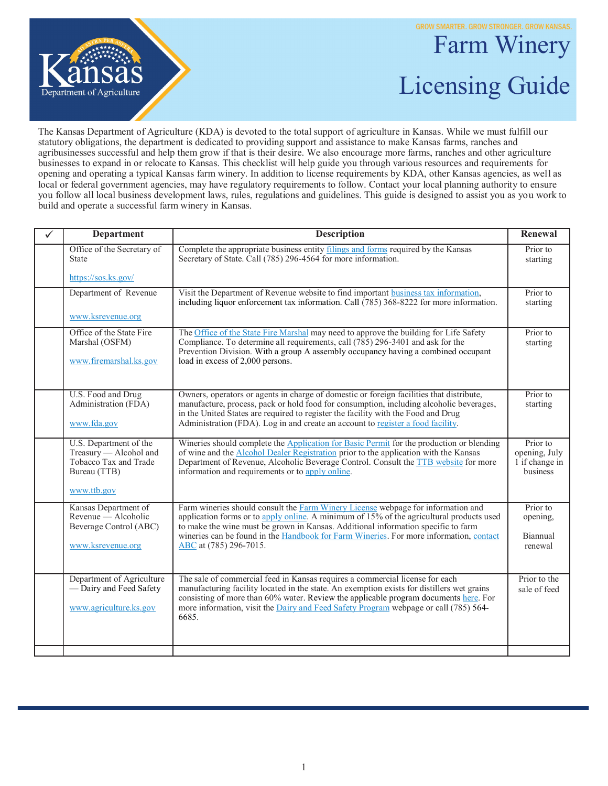**GROW SMARTER. GROW STRONGER. GROW KANSAS.** 



## Farm Winery Licensing Guide

The Kansas Department of Agriculture (KDA) is devoted to the total support of agriculture in Kansas. While we must fulfill our statutory obligations, the department is dedicated to providing support and assistance to make Kansas farms, ranches and agribusinesses successful and help them grow if that is their desire. We also encourage more farms, ranches and other agriculture businesses to expand in or relocate to Kansas. This checklist will help guide you through various resources and requirements for opening and operating a typical Kansas farm winery. In addition to license requirements by KDA, other Kansas agencies, as well as local or federal government agencies, may have regulatory requirements to follow. Contact your local planning authority to ensure you follow all local business development laws, rules, regulations and guidelines. This guide is designed to assist you as you work to build and operate a successful farm winery in Kansas.

| $\checkmark$ | <b>Department</b>                                                                                        | <b>Description</b>                                                                                                                                                                                                                                                                                                                                                                    | Renewal                                                 |
|--------------|----------------------------------------------------------------------------------------------------------|---------------------------------------------------------------------------------------------------------------------------------------------------------------------------------------------------------------------------------------------------------------------------------------------------------------------------------------------------------------------------------------|---------------------------------------------------------|
|              | Office of the Secretary of<br><b>State</b>                                                               | Complete the appropriate business entity filings and forms required by the Kansas<br>Secretary of State. Call (785) 296-4564 for more information.                                                                                                                                                                                                                                    | Prior to<br>starting                                    |
|              | https://sos.ks.gov/                                                                                      |                                                                                                                                                                                                                                                                                                                                                                                       |                                                         |
|              | Department of Revenue                                                                                    | Visit the Department of Revenue website to find important business tax information,<br>including liquor enforcement tax information. Call (785) 368-8222 for more information.                                                                                                                                                                                                        | Prior to<br>starting                                    |
|              | www.ksrevenue.org                                                                                        |                                                                                                                                                                                                                                                                                                                                                                                       |                                                         |
|              | Office of the State Fire<br>Marshal (OSFM)<br>www.firemarshal.ks.gov                                     | The Office of the State Fire Marshal may need to approve the building for Life Safety<br>Compliance. To determine all requirements, call $(785)$ 296-3401 and ask for the<br>Prevention Division. With a group A assembly occupancy having a combined occupant<br>load in excess of 2,000 persons.                                                                                    | Prior to<br>starting                                    |
|              | U.S. Food and Drug<br>Administration (FDA)<br>www.fda.gov                                                | Owners, operators or agents in charge of domestic or foreign facilities that distribute,<br>manufacture, process, pack or hold food for consumption, including alcoholic beverages,<br>in the United States are required to register the facility with the Food and Drug<br>Administration (FDA). Log in and create an account to register a food facility.                           | Prior to<br>starting                                    |
|              | U.S. Department of the<br>Treasury - Alcohol and<br>Tobacco Tax and Trade<br>Bureau (TTB)<br>www.ttb.gov | Wineries should complete the Application for Basic Permit for the production or blending<br>of wine and the <b>Alcohol Dealer Registration</b> prior to the application with the Kansas<br>Department of Revenue, Alcoholic Beverage Control. Consult the TTB website for more<br>information and requirements or to apply online.                                                    | Prior to<br>opening, July<br>1 if change in<br>business |
|              | Kansas Department of<br>Revenue — Alcoholic<br>Beverage Control (ABC)<br>www.ksrevenue.org               | Farm wineries should consult the Farm Winery License webpage for information and<br>application forms or to apply online. A minimum of 15% of the agricultural products used<br>to make the wine must be grown in Kansas. Additional information specific to farm<br>wineries can be found in the Handbook for Farm Wineries. For more information, contact<br>ABC at (785) 296-7015. | Prior to<br>opening,<br>Biannual<br>renewal             |
|              | Department of Agriculture<br>-Dairy and Feed Safety<br>www.agriculture.ks.gov                            | The sale of commercial feed in Kansas requires a commercial license for each<br>manufacturing facility located in the state. An exemption exists for distillers wet grains<br>consisting of more than 60% water. Review the applicable program documents here. For<br>more information, visit the Dairy and Feed Safety Program webpage or call (785) 564-<br>6685.                   | Prior to the<br>sale of feed                            |
|              |                                                                                                          |                                                                                                                                                                                                                                                                                                                                                                                       |                                                         |